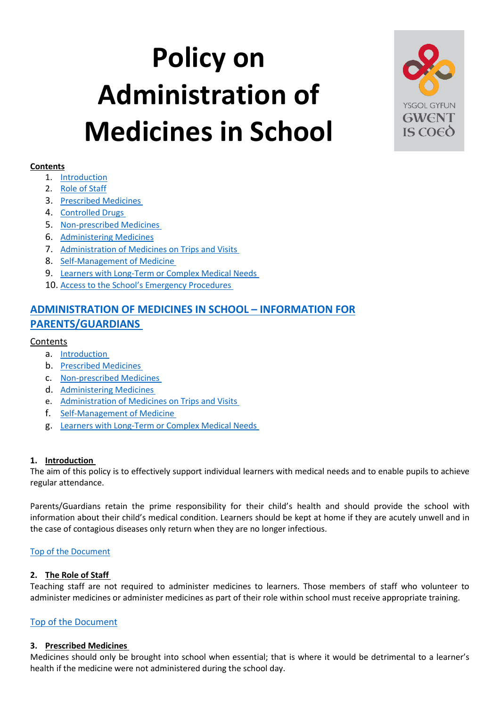# <span id="page-0-3"></span>**Policy on Administration of Medicines in School**



# **Contents**

- 1. [Introduction](#page-0-0)
- 2. [Role of Staff](#page-0-1)
- 3. [Prescribed Medicines](#page-0-2)
- 4. [Controlled Drugs](#page-1-0)
- 5. [Non-prescribed Medicines](#page-1-1)
- 6. [Administering Medicines](#page-1-2)
- 7. [Administration of Medicines on Trips and Visits](#page-1-3)
- 8. [Self-Management of Medicine](#page-1-4)
- 9. [Learners with Long-Term or Complex Medical Needs](#page-1-5)
- 10. [Access to the School's Emergency Procedures](#page-2-0)

# **[ADMINISTRATION OF MEDICINES IN SCHOOL](#page-2-1) – INFORMATION FOR [PARENTS/GUARDIANS](#page-2-1)**

# Contents

- a. [Introduction](#page-2-2)
- b. [Prescribed Medicines](#page-2-3)
- c. [Non-prescribed Medicines](#page-2-4)
- d. [Administering Medicines](#page-2-5)
- e. [Administration of Medicines on Trips and Visits](#page-3-0)
- f. [Self-Management of Medicine](#page-3-1)
- g. [Learners with Long-Term or Complex Medical Needs](#page-3-2)

# <span id="page-0-0"></span>**1. Introduction**

The aim of this policy is to effectively support individual learners with medical needs and to enable pupils to achieve regular attendance.

Parents/Guardians retain the prime responsibility for their child's health and should provide the school with information about their child's medical condition. Learners should be kept at home if they are acutely unwell and in the case of contagious diseases only return when they are no longer infectious.

# [Top of the Document](#page-0-3)

# <span id="page-0-1"></span>**2. The Role of Staff**

Teaching staff are not required to administer medicines to learners. Those members of staff who volunteer to administer medicines or administer medicines as part of their role within school must receive appropriate training.

# [Top of the Document](#page-0-3)

# <span id="page-0-2"></span>**3. Prescribed Medicines**

Medicines should only be brought into school when essential; that is where it would be detrimental to a learner's health if the medicine were not administered during the school day.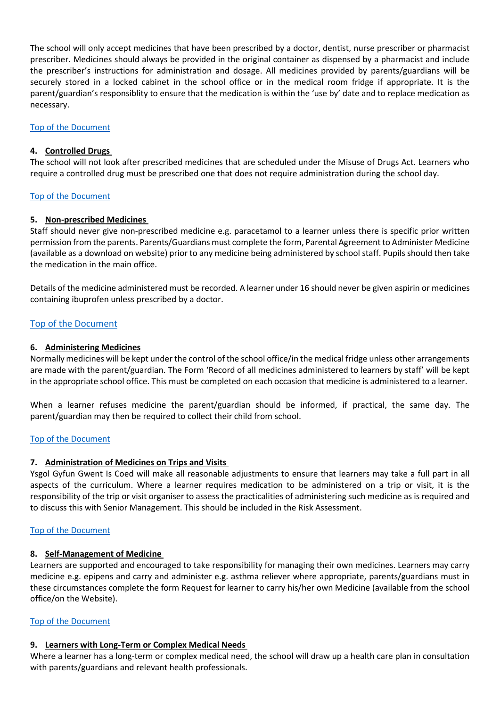The school will only accept medicines that have been prescribed by a doctor, dentist, nurse prescriber or pharmacist prescriber. Medicines should always be provided in the original container as dispensed by a pharmacist and include the prescriber's instructions for administration and dosage. All medicines provided by parents/guardians will be securely stored in a locked cabinet in the school office or in the medical room fridge if appropriate. It is the parent/guardian's responsiblity to ensure that the medication is within the 'use by' date and to replace medication as necessary.

#### [Top of the Document](#page-0-3)

#### <span id="page-1-0"></span>**4. Controlled Drugs**

The school will not look after prescribed medicines that are scheduled under the Misuse of Drugs Act. Learners who require a controlled drug must be prescribed one that does not require administration during the school day.

#### [Top of the Document](#page-0-3)

#### <span id="page-1-1"></span>**5. Non-prescribed Medicines**

Staff should never give non-prescribed medicine e.g. paracetamol to a learner unless there is specific prior written permission from the parents. Parents/Guardians must complete the form, Parental Agreement to Administer Medicine (available as a download on website) prior to any medicine being administered by school staff. Pupils should then take the medication in the main office.

Details of the medicine administered must be recorded. A learner under 16 should never be given aspirin or medicines containing ibuprofen unless prescribed by a doctor.

#### [Top of the Document](#page-0-3)

#### <span id="page-1-2"></span>**6. Administering Medicines**

Normally medicines will be kept under the control of the school office/in the medical fridge unless other arrangements are made with the parent/guardian. The Form 'Record of all medicines administered to learners by staff' will be kept in the appropriate school office. This must be completed on each occasion that medicine is administered to a learner.

When a learner refuses medicine the parent/guardian should be informed, if practical, the same day. The parent/guardian may then be required to collect their child from school.

#### [Top of the Document](#page-0-3)

#### <span id="page-1-3"></span>**7. Administration of Medicines on Trips and Visits**

Ysgol Gyfun Gwent Is Coed will make all reasonable adjustments to ensure that learners may take a full part in all aspects of the curriculum. Where a learner requires medication to be administered on a trip or visit, it is the responsibility of the trip or visit organiser to assess the practicalities of administering such medicine as is required and to discuss this with Senior Management. This should be included in the Risk Assessment.

#### [Top of the Document](#page-0-3)

#### <span id="page-1-4"></span>**8. Self-Management of Medicine**

Learners are supported and encouraged to take responsibility for managing their own medicines. Learners may carry medicine e.g. epipens and carry and administer e.g. asthma reliever where appropriate, parents/guardians must in these circumstances complete the form Request for learner to carry his/her own Medicine (available from the school office/on the Website).

#### [Top of the Document](#page-0-3)

#### <span id="page-1-5"></span>**9. Learners with Long-Term or Complex Medical Needs**

Where a learner has a long-term or complex medical need, the school will draw up a health care plan in consultation with parents/guardians and relevant health professionals.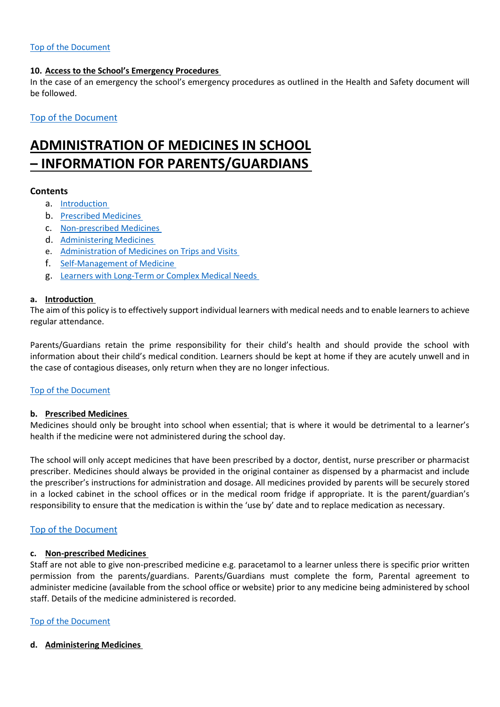#### [Top of the Document](#page-0-3)

#### <span id="page-2-0"></span>**10. Access to the School's Emergency Procedures**

In the case of an emergency the school's emergency procedures as outlined in the Health and Safety document will be followed.

[Top of the Document](#page-0-3)

# <span id="page-2-1"></span>**ADMINISTRATION OF MEDICINES IN SCHOOL – INFORMATION FOR PARENTS/GUARDIANS**

#### **Contents**

- a. [Introduction](#page-2-2)
- b. [Prescribed Medicines](#page-2-3)
- c. [Non-prescribed Medicines](#page-2-4)
- d. [Administering Medicines](#page-2-5)
- e. [Administration of Medicines on Trips and Visits](#page-3-0)
- f. [Self-Management of Medicine](#page-3-1)
- g. [Learners with Long-Term or Complex Medical Needs](#page-3-2)

#### <span id="page-2-2"></span>**a. Introduction**

The aim of this policy is to effectively support individual learners with medical needs and to enable learners to achieve regular attendance.

Parents/Guardians retain the prime responsibility for their child's health and should provide the school with information about their child's medical condition. Learners should be kept at home if they are acutely unwell and in the case of contagious diseases, only return when they are no longer infectious.

#### [Top of the Document](#page-0-3)

# <span id="page-2-3"></span>**b. Prescribed Medicines**

Medicines should only be brought into school when essential; that is where it would be detrimental to a learner's health if the medicine were not administered during the school day.

The school will only accept medicines that have been prescribed by a doctor, dentist, nurse prescriber or pharmacist prescriber. Medicines should always be provided in the original container as dispensed by a pharmacist and include the prescriber's instructions for administration and dosage. All medicines provided by parents will be securely stored in a locked cabinet in the school offices or in the medical room fridge if appropriate. It is the parent/guardian's responsibility to ensure that the medication is within the 'use by' date and to replace medication as necessary.

#### [Top of the Document](#page-0-3)

# <span id="page-2-4"></span>**c. Non-prescribed Medicines**

Staff are not able to give non-prescribed medicine e.g. paracetamol to a learner unless there is specific prior written permission from the parents/guardians. Parents/Guardians must complete the form, Parental agreement to administer medicine (available from the school office or website) prior to any medicine being administered by school staff. Details of the medicine administered is recorded.

# [Top of the Document](#page-0-3)

<span id="page-2-5"></span>**d. Administering Medicines**